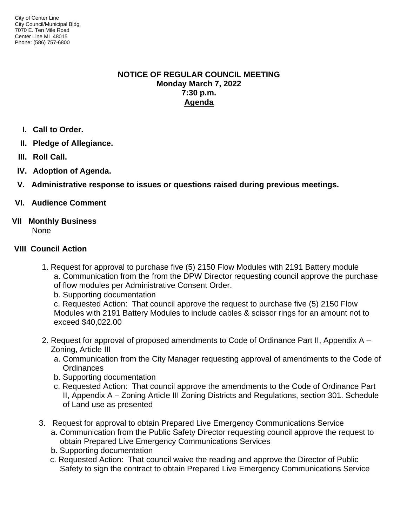### **NOTICE OF REGULAR COUNCIL MEETING Monday March 7, 2022 7:30 p.m. Agenda**

- **I. Call to Order.**
- **II. Pledge of Allegiance.**
- **III. Roll Call.**
- **IV. Adoption of Agenda.**
- **V. Administrative response to issues or questions raised during previous meetings.**

# **VI. Audience Comment**

**VII Monthly Business**

None

# **VIII Council Action**

- 1. Request for approval to purchase five (5) 2150 Flow Modules with 2191 Battery module a. Communication from the from the DPW Director requesting council approve the purchase of flow modules per Administrative Consent Order.
	- b. Supporting documentation

c. Requested Action: That council approve the request to purchase five (5) 2150 Flow Modules with 2191 Battery Modules to include cables & scissor rings for an amount not to exceed \$40,022.00

- 2. Request for approval of proposed amendments to Code of Ordinance Part II, Appendix A Zoning, Article III
	- a. Communication from the City Manager requesting approval of amendments to the Code of **Ordinances**
	- b. Supporting documentation
	- c. Requested Action: That council approve the amendments to the Code of Ordinance Part II, Appendix A – Zoning Article III Zoning Districts and Regulations, section 301. Schedule of Land use as presented
- 3. Request for approval to obtain Prepared Live Emergency Communications Service
	- a. Communication from the Public Safety Director requesting council approve the request to obtain Prepared Live Emergency Communications Services
	- b. Supporting documentation
	- c. Requested Action: That council waive the reading and approve the Director of Public Safety to sign the contract to obtain Prepared Live Emergency Communications Service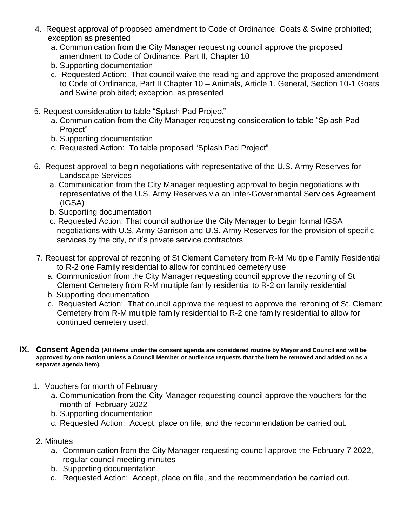- 4. Request approval of proposed amendment to Code of Ordinance, Goats & Swine prohibited; exception as presented
	- a. Communication from the City Manager requesting council approve the proposed amendment to Code of Ordinance, Part II, Chapter 10
	- b. Supporting documentation
	- c. Requested Action: That council waive the reading and approve the proposed amendment to Code of Ordinance, Part II Chapter 10 – Animals, Article 1. General, Section 10-1 Goats and Swine prohibited; exception, as presented
- 5. Request consideration to table "Splash Pad Project"
	- a. Communication from the City Manager requesting consideration to table "Splash Pad Project"
	- b. Supporting documentation
	- c. Requested Action: To table proposed "Splash Pad Project"
- 6. Request approval to begin negotiations with representative of the U.S. Army Reserves for Landscape Services
	- a. Communication from the City Manager requesting approval to begin negotiations with representative of the U.S. Army Reserves via an Inter-Governmental Services Agreement (IGSA)
	- b. Supporting documentation
	- c. Requested Action: That council authorize the City Manager to begin formal IGSA negotiations with U.S. Army Garrison and U.S. Army Reserves for the provision of specific services by the city, or it's private service contractors
- 7. Request for approval of rezoning of St Clement Cemetery from R-M Multiple Family Residential to R-2 one Family residential to allow for continued cemetery use
	- a. Communication from the City Manager requesting council approve the rezoning of St Clement Cemetery from R-M multiple family residential to R-2 on family residential
	- b. Supporting documentation
	- c. Requested Action: That council approve the request to approve the rezoning of St. Clement Cemetery from R-M multiple family residential to R-2 one family residential to allow for continued cemetery used.
- **IX. Consent Agenda (All items under the consent agenda are considered routine by Mayor and Council and will be approved by one motion unless a Council Member or audience requests that the item be removed and added on as a separate agenda item).**
	- 1. Vouchers for month of February
		- a. Communication from the City Manager requesting council approve the vouchers for the month of February 2022
		- b. Supporting documentation
		- c. Requested Action: Accept, place on file, and the recommendation be carried out.
	- 2. Minutes
		- a. Communication from the City Manager requesting council approve the February 7 2022, regular council meeting minutes
		- b. Supporting documentation
		- c. Requested Action: Accept, place on file, and the recommendation be carried out.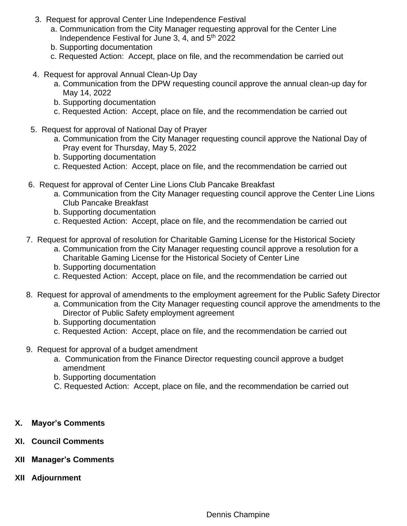- 3. Request for approval Center Line Independence Festival
	- a. Communication from the City Manager requesting approval for the Center Line Independence Festival for June 3, 4, and  $5<sup>th</sup>$  2022
	- b. Supporting documentation
	- c. Requested Action: Accept, place on file, and the recommendation be carried out
- 4. Request for approval Annual Clean-Up Day
	- a. Communication from the DPW requesting council approve the annual clean-up day for May 14, 2022
	- b. Supporting documentation
	- c. Requested Action: Accept, place on file, and the recommendation be carried out
- 5. Request for approval of National Day of Prayer
	- a. Communication from the City Manager requesting council approve the National Day of Pray event for Thursday, May 5, 2022
	- b. Supporting documentation
	- c. Requested Action: Accept, place on file, and the recommendation be carried out
- 6. Request for approval of Center Line Lions Club Pancake Breakfast
	- a. Communication from the City Manager requesting council approve the Center Line Lions Club Pancake Breakfast
	- b. Supporting documentation
	- c. Requested Action: Accept, place on file, and the recommendation be carried out
- 7. Request for approval of resolution for Charitable Gaming License for the Historical Society
	- a. Communication from the City Manager requesting council approve a resolution for a Charitable Gaming License for the Historical Society of Center Line
	- b. Supporting documentation
	- c. Requested Action: Accept, place on file, and the recommendation be carried out
- 8. Request for approval of amendments to the employment agreement for the Public Safety Director
	- a. Communication from the City Manager requesting council approve the amendments to the Director of Public Safety employment agreement
	- b. Supporting documentation
	- c. Requested Action: Accept, place on file, and the recommendation be carried out
- 9. Request for approval of a budget amendment
	- a. Communication from the Finance Director requesting council approve a budget amendment
	- b. Supporting documentation
	- C. Requested Action: Accept, place on file, and the recommendation be carried out
- **X. Mayor's Comments**
- **XI. Council Comments**
- **XII Manager's Comments**
- **XII Adjournment**